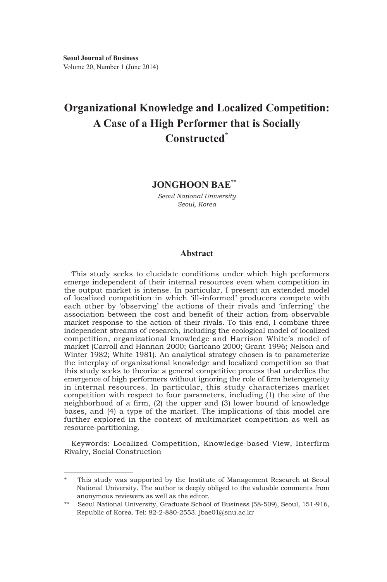# **Organizational Knowledge and Localized Competition: A Case of a High Performer that is Socially Constructed\***

# **JONGHOON BAE\*\***

*Seoul National University Seoul, Korea*

# **Abstract**

This study seeks to elucidate conditions under which high performers emerge independent of their internal resources even when competition in the output market is intense. In particular, I present an extended model of localized competition in which 'ill-informed' producers compete with each other by 'observing' the actions of their rivals and 'inferring' the association between the cost and benefit of their action from observable market response to the action of their rivals. To this end, I combine three independent streams of research, including the ecological model of localized competition, organizational knowledge and Harrison White's model of market (Carroll and Hannan 2000; Garicano 2000; Grant 1996; Nelson and Winter 1982; White 1981). An analytical strategy chosen is to parameterize the interplay of organizational knowledge and localized competition so that this study seeks to theorize a general competitive process that underlies the emergence of high performers without ignoring the role of firm heterogeneity in internal resources. In particular, this study characterizes market competition with respect to four parameters, including (1) the size of the neighborhood of a firm, (2) the upper and (3) lower bound of knowledge bases, and (4) a type of the market. The implications of this model are further explored in the context of multimarket competition as well as resource-partitioning.

Keywords: Localized Competition, Knowledge-based View, Interfirm Rivalry, Social Construction

This study was supported by the Institute of Management Research at Seoul National University. The author is deeply obliged to the valuable comments from anonymous reviewers as well as the editor.

<sup>\*\*</sup> Seoul National University, Graduate School of Business (58-509), Seoul, 151-916, Republic of Korea. Tel: 82-2-880-2553. jbae01@snu.ac.kr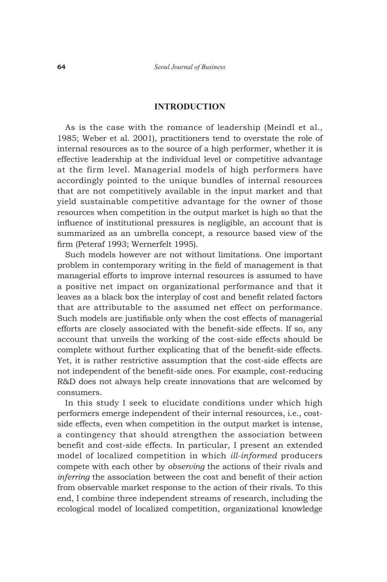#### **INTRODUCTION**

As is the case with the romance of leadership (Meindl et al., 1985; Weber et al. 2001), practitioners tend to overstate the role of internal resources as to the source of a high performer, whether it is effective leadership at the individual level or competitive advantage at the firm level. Managerial models of high performers have accordingly pointed to the unique bundles of internal resources that are not competitively available in the input market and that yield sustainable competitive advantage for the owner of those resources when competition in the output market is high so that the influence of institutional pressures is negligible, an account that is summarized as an umbrella concept, a resource based view of the firm (Peteraf 1993; Wernerfelt 1995).

Such models however are not without limitations. One important problem in contemporary writing in the field of management is that managerial efforts to improve internal resources is assumed to have a positive net impact on organizational performance and that it leaves as a black box the interplay of cost and benefit related factors that are attributable to the assumed net effect on performance. Such models are justifiable only when the cost effects of managerial efforts are closely associated with the benefit-side effects. If so, any account that unveils the working of the cost-side effects should be complete without further explicating that of the benefit-side effects. Yet, it is rather restrictive assumption that the cost-side effects are not independent of the benefit-side ones. For example, cost-reducing R&D does not always help create innovations that are welcomed by consumers.

In this study I seek to elucidate conditions under which high performers emerge independent of their internal resources, i.e., costside effects, even when competition in the output market is intense, a contingency that should strengthen the association between benefit and cost-side effects. In particular, I present an extended model of localized competition in which *ill-informed* producers compete with each other by *observing* the actions of their rivals and *inferring* the association between the cost and benefit of their action from observable market response to the action of their rivals. To this end, I combine three independent streams of research, including the ecological model of localized competition, organizational knowledge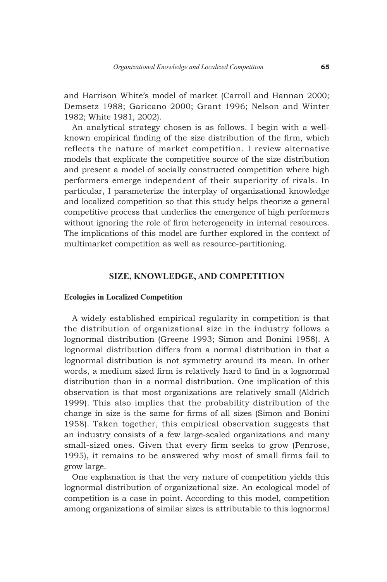and Harrison White's model of market (Carroll and Hannan 2000; Demsetz 1988; Garicano 2000; Grant 1996; Nelson and Winter 1982; White 1981, 2002).

An analytical strategy chosen is as follows. I begin with a wellknown empirical finding of the size distribution of the firm, which reflects the nature of market competition. I review alternative models that explicate the competitive source of the size distribution and present a model of socially constructed competition where high performers emerge independent of their superiority of rivals. In particular, I parameterize the interplay of organizational knowledge and localized competition so that this study helps theorize a general competitive process that underlies the emergence of high performers without ignoring the role of firm heterogeneity in internal resources. The implications of this model are further explored in the context of multimarket competition as well as resource-partitioning.

# **SIZE, KNOWLEDGE, AND COMPETITION**

#### **Ecologies in Localized Competition**

A widely established empirical regularity in competition is that the distribution of organizational size in the industry follows a lognormal distribution (Greene 1993; Simon and Bonini 1958). A lognormal distribution differs from a normal distribution in that a lognormal distribution is not symmetry around its mean. In other words, a medium sized firm is relatively hard to find in a lognormal distribution than in a normal distribution. One implication of this observation is that most organizations are relatively small (Aldrich 1999). This also implies that the probability distribution of the change in size is the same for firms of all sizes (Simon and Bonini 1958). Taken together, this empirical observation suggests that an industry consists of a few large-scaled organizations and many small-sized ones. Given that every firm seeks to grow (Penrose, 1995), it remains to be answered why most of small firms fail to grow large.

One explanation is that the very nature of competition yields this lognormal distribution of organizational size. An ecological model of competition is a case in point. According to this model, competition among organizations of similar sizes is attributable to this lognormal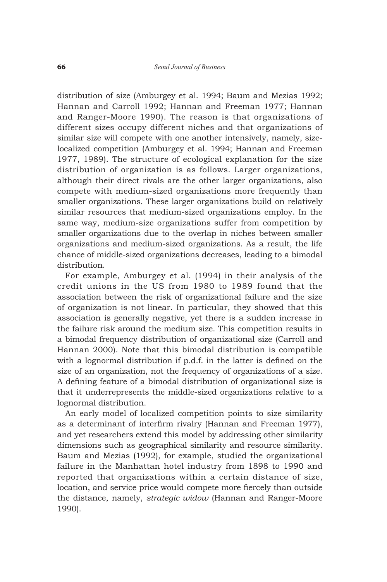distribution of size (Amburgey et al. 1994; Baum and Mezias 1992; Hannan and Carroll 1992; Hannan and Freeman 1977; Hannan and Ranger-Moore 1990). The reason is that organizations of different sizes occupy different niches and that organizations of similar size will compete with one another intensively, namely, sizelocalized competition (Amburgey et al. 1994; Hannan and Freeman 1977, 1989). The structure of ecological explanation for the size distribution of organization is as follows. Larger organizations, although their direct rivals are the other larger organizations, also compete with medium-sized organizations more frequently than smaller organizations. These larger organizations build on relatively similar resources that medium-sized organizations employ. In the same way, medium-size organizations suffer from competition by smaller organizations due to the overlap in niches between smaller organizations and medium-sized organizations. As a result, the life chance of middle-sized organizations decreases, leading to a bimodal distribution.

For example, Amburgey et al. (1994) in their analysis of the credit unions in the US from 1980 to 1989 found that the association between the risk of organizational failure and the size of organization is not linear. In particular, they showed that this association is generally negative, yet there is a sudden increase in the failure risk around the medium size. This competition results in a bimodal frequency distribution of organizational size (Carroll and Hannan 2000). Note that this bimodal distribution is compatible with a lognormal distribution if p.d.f. in the latter is defined on the size of an organization, not the frequency of organizations of a size. A defining feature of a bimodal distribution of organizational size is that it underrepresents the middle-sized organizations relative to a lognormal distribution.

An early model of localized competition points to size similarity as a determinant of interfirm rivalry (Hannan and Freeman 1977), and yet researchers extend this model by addressing other similarity dimensions such as geographical similarity and resource similarity. Baum and Mezias (1992), for example, studied the organizational failure in the Manhattan hotel industry from 1898 to 1990 and reported that organizations within a certain distance of size, location, and service price would compete more fiercely than outside the distance, namely, *strategic widow* (Hannan and Ranger-Moore 1990).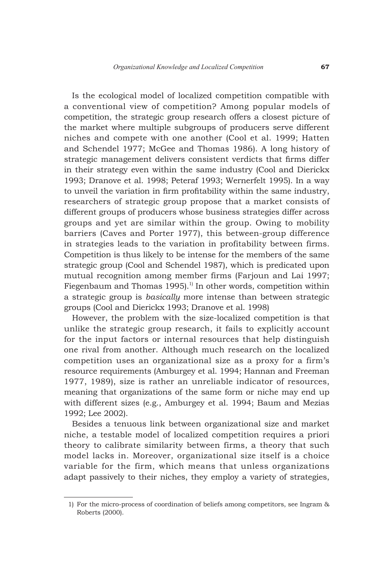Is the ecological model of localized competition compatible with a conventional view of competition? Among popular models of competition, the strategic group research offers a closest picture of the market where multiple subgroups of producers serve different niches and compete with one another (Cool et al. 1999; Hatten and Schendel 1977; McGee and Thomas 1986). A long history of strategic management delivers consistent verdicts that firms differ in their strategy even within the same industry (Cool and Dierickx 1993; Dranove et al. 1998; Peteraf 1993; Wernerfelt 1995). In a way to unveil the variation in firm profitability within the same industry, researchers of strategic group propose that a market consists of different groups of producers whose business strategies differ across groups and yet are similar within the group. Owing to mobility barriers (Caves and Porter 1977), this between-group difference in strategies leads to the variation in profitability between firms. Competition is thus likely to be intense for the members of the same strategic group (Cool and Schendel 1987), which is predicated upon mutual recognition among member firms (Farjoun and Lai 1997; Fiegenbaum and Thomas 1995).<sup>1)</sup> In other words, competition within a strategic group is *basically* more intense than between strategic groups (Cool and Dierickx 1993; Dranove et al. 1998)

However, the problem with the size-localized competition is that unlike the strategic group research, it fails to explicitly account for the input factors or internal resources that help distinguish one rival from another. Although much research on the localized competition uses an organizational size as a proxy for a firm's resource requirements (Amburgey et al. 1994; Hannan and Freeman 1977, 1989), size is rather an unreliable indicator of resources, meaning that organizations of the same form or niche may end up with different sizes (e.g., Amburgey et al. 1994; Baum and Mezias 1992; Lee 2002).

Besides a tenuous link between organizational size and market niche, a testable model of localized competition requires a priori theory to calibrate similarity between firms, a theory that such model lacks in. Moreover, organizational size itself is a choice variable for the firm, which means that unless organizations adapt passively to their niches, they employ a variety of strategies,

 <sup>1)</sup> For the micro-process of coordination of beliefs among competitors, see Ingram & Roberts (2000).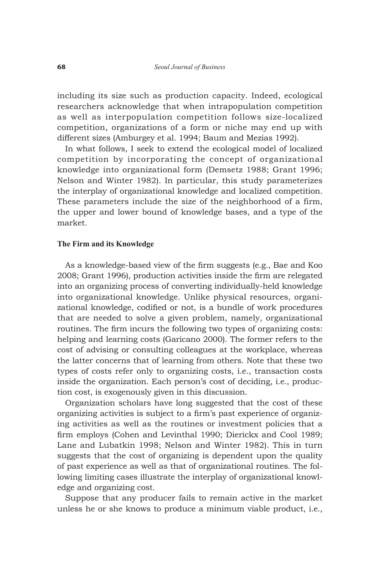including its size such as production capacity. Indeed, ecological researchers acknowledge that when intrapopulation competition as well as interpopulation competition follows size-localized competition, organizations of a form or niche may end up with different sizes (Amburgey et al. 1994; Baum and Mezias 1992).

In what follows, I seek to extend the ecological model of localized competition by incorporating the concept of organizational knowledge into organizational form (Demsetz 1988; Grant 1996; Nelson and Winter 1982). In particular, this study parameterizes the interplay of organizational knowledge and localized competition. These parameters include the size of the neighborhood of a firm, the upper and lower bound of knowledge bases, and a type of the market.

#### **The Firm and its Knowledge**

As a knowledge-based view of the firm suggests (e.g., Bae and Koo 2008; Grant 1996), production activities inside the firm are relegated into an organizing process of converting individually-held knowledge into organizational knowledge. Unlike physical resources, organizational knowledge, codified or not, is a bundle of work procedures that are needed to solve a given problem, namely, organizational routines. The firm incurs the following two types of organizing costs: helping and learning costs (Garicano 2000). The former refers to the cost of advising or consulting colleagues at the workplace, whereas the latter concerns that of learning from others. Note that these two types of costs refer only to organizing costs, i.e., transaction costs inside the organization. Each person's cost of deciding, i.e., production cost, is exogenously given in this discussion.

Organization scholars have long suggested that the cost of these organizing activities is subject to a firm's past experience of organizing activities as well as the routines or investment policies that a firm employs (Cohen and Levinthal 1990; Dierickx and Cool 1989; Lane and Lubatkin 1998; Nelson and Winter 1982). This in turn suggests that the cost of organizing is dependent upon the quality of past experience as well as that of organizational routines. The following limiting cases illustrate the interplay of organizational knowledge and organizing cost.

Suppose that any producer fails to remain active in the market unless he or she knows to produce a minimum viable product, i.e.,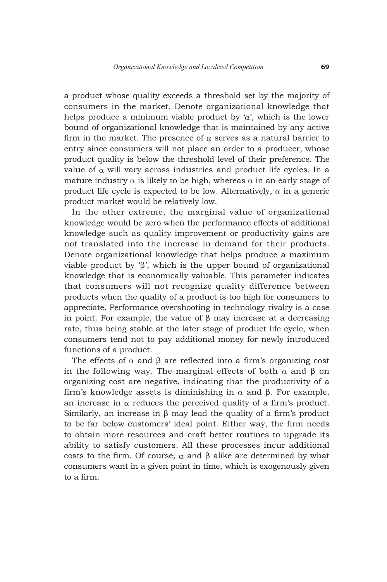a product whose quality exceeds a threshold set by the majority of consumers in the market. Denote organizational knowledge that helps produce a minimum viable product by ' $\alpha$ ', which is the lower bound of organizational knowledge that is maintained by any active firm in the market. The presence of  $\alpha$  serves as a natural barrier to entry since consumers will not place an order to a producer, whose product quality is below the threshold level of their preference. The value of  $\alpha$  will vary across industries and product life cycles. In a mature industry  $\alpha$  is likely to be high, whereas  $\alpha$  in an early stage of product life cycle is expected to be low. Alternatively,  $\alpha$  in a generic product market would be relatively low.

In the other extreme, the marginal value of organizational knowledge would be zero when the performance effects of additional knowledge such as quality improvement or productivity gains are not translated into the increase in demand for their products. Denote organizational knowledge that helps produce a maximum viable product by 'β', which is the upper bound of organizational knowledge that is economically valuable. This parameter indicates that consumers will not recognize quality difference between products when the quality of a product is too high for consumers to appreciate. Performance overshooting in technology rivalry is a case in point. For example, the value of β may increase at a decreasing rate, thus being stable at the later stage of product life cycle, when consumers tend not to pay additional money for newly introduced functions of a product.

The effects of  $\alpha$  and  $\beta$  are reflected into a firm's organizing cost in the following way. The marginal effects of both  $\alpha$  and  $\beta$  on organizing cost are negative, indicating that the productivity of a firm's knowledge assets is diminishing in α and β. For example, an increase in  $\alpha$  reduces the perceived quality of a firm's product. Similarly, an increase in  $\beta$  may lead the quality of a firm's product to be far below customers' ideal point. Either way, the firm needs to obtain more resources and craft better routines to upgrade its ability to satisfy customers. All these processes incur additional costs to the firm. Of course, α and β alike are determined by what consumers want in a given point in time, which is exogenously given to a firm.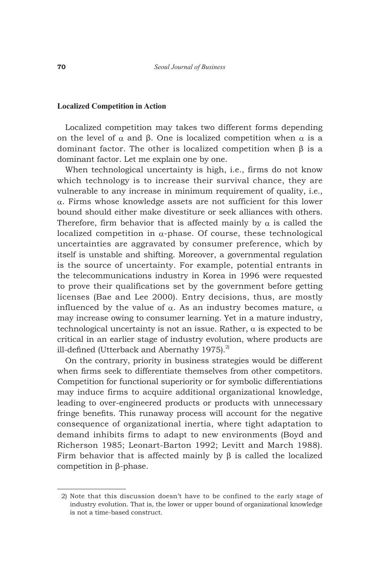#### **Localized Competition in Action**

Localized competition may takes two different forms depending on the level of  $\alpha$  and  $\beta$ . One is localized competition when  $\alpha$  is a dominant factor. The other is localized competition when β is a dominant factor. Let me explain one by one.

When technological uncertainty is high, i.e., firms do not know which technology is to increase their survival chance, they are vulnerable to any increase in minimum requirement of quality, i.e., α. Firms whose knowledge assets are not sufficient for this lower bound should either make divestiture or seek alliances with others. Therefore, firm behavior that is affected mainly by  $\alpha$  is called the localized competition in  $\alpha$ -phase. Of course, these technological uncertainties are aggravated by consumer preference, which by itself is unstable and shifting. Moreover, a governmental regulation is the source of uncertainty. For example, potential entrants in the telecommunications industry in Korea in 1996 were requested to prove their qualifications set by the government before getting licenses (Bae and Lee 2000). Entry decisions, thus, are mostly influenced by the value of  $\alpha$ . As an industry becomes mature,  $\alpha$ may increase owing to consumer learning. Yet in a mature industry, technological uncertainty is not an issue. Rather,  $\alpha$  is expected to be critical in an earlier stage of industry evolution, where products are ill-defined (Utterback and Abernathy 1975). $^{2}$ 

On the contrary, priority in business strategies would be different when firms seek to differentiate themselves from other competitors. Competition for functional superiority or for symbolic differentiations may induce firms to acquire additional organizational knowledge, leading to over-engineered products or products with unnecessary fringe benefits. This runaway process will account for the negative consequence of organizational inertia, where tight adaptation to demand inhibits firms to adapt to new environments (Boyd and Richerson 1985; Leonart-Barton 1992; Levitt and March 1988). Firm behavior that is affected mainly by  $\beta$  is called the localized competition in β-phase.

 <sup>2)</sup> Note that this discussion doesn't have to be confined to the early stage of industry evolution. That is, the lower or upper bound of organizational knowledge is not a time-based construct.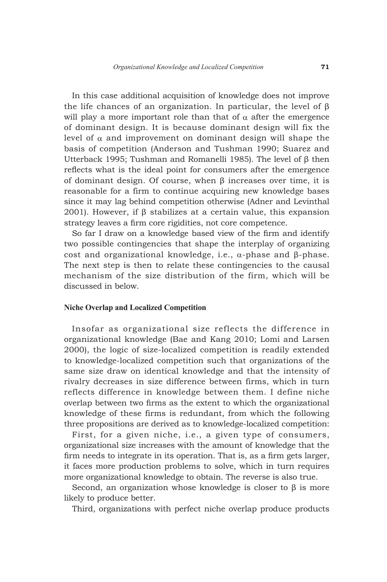In this case additional acquisition of knowledge does not improve the life chances of an organization. In particular, the level of β will play a more important role than that of  $\alpha$  after the emergence of dominant design. It is because dominant design will fix the level of α and improvement on dominant design will shape the basis of competition (Anderson and Tushman 1990; Suarez and Utterback 1995; Tushman and Romanelli 1985). The level of β then reflects what is the ideal point for consumers after the emergence of dominant design. Of course, when β increases over time, it is reasonable for a firm to continue acquiring new knowledge bases since it may lag behind competition otherwise (Adner and Levinthal 2001). However, if β stabilizes at a certain value, this expansion strategy leaves a firm core rigidities, not core competence.

So far I draw on a knowledge based view of the firm and identify two possible contingencies that shape the interplay of organizing cost and organizational knowledge, i.e., α-phase and β-phase. The next step is then to relate these contingencies to the causal mechanism of the size distribution of the firm, which will be discussed in below.

#### **Niche Overlap and Localized Competition**

Insofar as organizational size reflects the difference in organizational knowledge (Bae and Kang 2010; Lomi and Larsen 2000), the logic of size-localized competition is readily extended to knowledge-localized competition such that organizations of the same size draw on identical knowledge and that the intensity of rivalry decreases in size difference between firms, which in turn reflects difference in knowledge between them. I define niche overlap between two firms as the extent to which the organizational knowledge of these firms is redundant, from which the following three propositions are derived as to knowledge-localized competition:

First, for a given niche, i.e., a given type of consumers, organizational size increases with the amount of knowledge that the firm needs to integrate in its operation. That is, as a firm gets larger, it faces more production problems to solve, which in turn requires more organizational knowledge to obtain. The reverse is also true.

Second, an organization whose knowledge is closer to  $\beta$  is more likely to produce better.

Third, organizations with perfect niche overlap produce products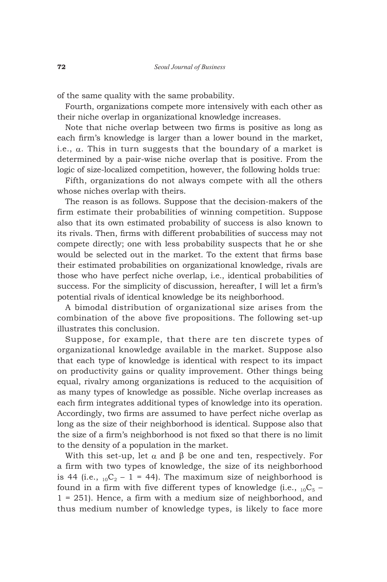of the same quality with the same probability.

Fourth, organizations compete more intensively with each other as their niche overlap in organizational knowledge increases.

Note that niche overlap between two firms is positive as long as each firm's knowledge is larger than a lower bound in the market, i.e.,  $\alpha$ . This in turn suggests that the boundary of a market is determined by a pair-wise niche overlap that is positive. From the logic of size-localized competition, however, the following holds true:

Fifth, organizations do not always compete with all the others whose niches overlap with theirs.

The reason is as follows. Suppose that the decision-makers of the firm estimate their probabilities of winning competition. Suppose also that its own estimated probability of success is also known to its rivals. Then, firms with different probabilities of success may not compete directly; one with less probability suspects that he or she would be selected out in the market. To the extent that firms base their estimated probabilities on organizational knowledge, rivals are those who have perfect niche overlap, i.e., identical probabilities of success. For the simplicity of discussion, hereafter, I will let a firm's potential rivals of identical knowledge be its neighborhood.

A bimodal distribution of organizational size arises from the combination of the above five propositions. The following set-up illustrates this conclusion.

Suppose, for example, that there are ten discrete types of organizational knowledge available in the market. Suppose also that each type of knowledge is identical with respect to its impact on productivity gains or quality improvement. Other things being equal, rivalry among organizations is reduced to the acquisition of as many types of knowledge as possible. Niche overlap increases as each firm integrates additional types of knowledge into its operation. Accordingly, two firms are assumed to have perfect niche overlap as long as the size of their neighborhood is identical. Suppose also that the size of a firm's neighborhood is not fixed so that there is no limit to the density of a population in the market.

With this set-up, let  $\alpha$  and  $\beta$  be one and ten, respectively. For a firm with two types of knowledge, the size of its neighborhood is 44 (i.e.,  $_{10}C_2 - 1 = 44$ ). The maximum size of neighborhood is found in a firm with five different types of knowledge (i.e.,  $_{10}C_5$  – 1 = 251). Hence, a firm with a medium size of neighborhood, and thus medium number of knowledge types, is likely to face more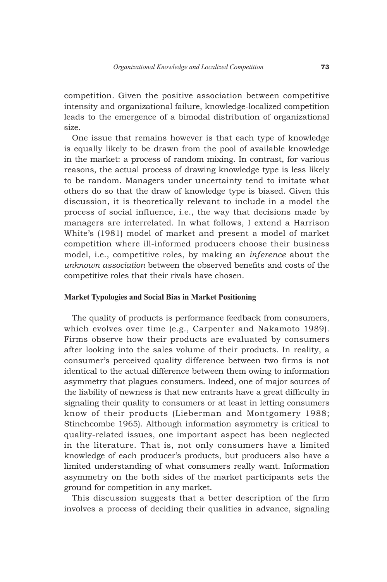competition. Given the positive association between competitive intensity and organizational failure, knowledge-localized competition leads to the emergence of a bimodal distribution of organizational size.

One issue that remains however is that each type of knowledge is equally likely to be drawn from the pool of available knowledge in the market: a process of random mixing. In contrast, for various reasons, the actual process of drawing knowledge type is less likely to be random. Managers under uncertainty tend to imitate what others do so that the draw of knowledge type is biased. Given this discussion, it is theoretically relevant to include in a model the process of social influence, i.e., the way that decisions made by managers are interrelated. In what follows, I extend a Harrison White's (1981) model of market and present a model of market competition where ill-informed producers choose their business model, i.e., competitive roles, by making an *inference* about the *unknown association* between the observed benefits and costs of the competitive roles that their rivals have chosen.

# **Market Typologies and Social Bias in Market Positioning**

The quality of products is performance feedback from consumers, which evolves over time (e.g., Carpenter and Nakamoto 1989). Firms observe how their products are evaluated by consumers after looking into the sales volume of their products. In reality, a consumer's perceived quality difference between two firms is not identical to the actual difference between them owing to information asymmetry that plagues consumers. Indeed, one of major sources of the liability of newness is that new entrants have a great difficulty in signaling their quality to consumers or at least in letting consumers know of their products (Lieberman and Montgomery 1988; Stinchcombe 1965). Although information asymmetry is critical to quality-related issues, one important aspect has been neglected in the literature. That is, not only consumers have a limited knowledge of each producer's products, but producers also have a limited understanding of what consumers really want. Information asymmetry on the both sides of the market participants sets the ground for competition in any market.

This discussion suggests that a better description of the firm involves a process of deciding their qualities in advance, signaling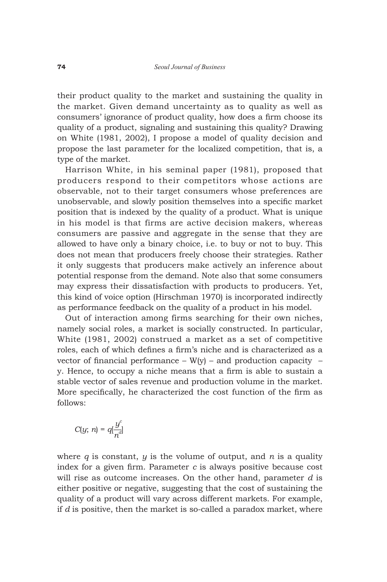their product quality to the market and sustaining the quality in the market. Given demand uncertainty as to quality as well as consumers' ignorance of product quality, how does a firm choose its quality of a product, signaling and sustaining this quality? Drawing on White (1981, 2002), I propose a model of quality decision and propose the last parameter for the localized competition, that is, a type of the market.

Harrison White, in his seminal paper (1981), proposed that producers respond to their competitors whose actions are observable, not to their target consumers whose preferences are unobservable, and slowly position themselves into a specific market position that is indexed by the quality of a product. What is unique in his model is that firms are active decision makers, whereas consumers are passive and aggregate in the sense that they are allowed to have only a binary choice, i.e. to buy or not to buy. This does not mean that producers freely choose their strategies. Rather it only suggests that producers make actively an inference about potential response from the demand. Note also that some consumers may express their dissatisfaction with products to producers. Yet, this kind of voice option (Hirschman 1970) is incorporated indirectly as performance feedback on the quality of a product in his model.

Out of interaction among firms searching for their own niches, namely social roles, a market is socially constructed. In particular, White (1981, 2002) construed a market as a set of competitive roles, each of which defines a firm's niche and is characterized as a vector of financial performance  $-$  W(y)  $-$  and production capacity  $$ y. Hence, to occupy a niche means that a firm is able to sustain a stable vector of sales revenue and production volume in the market. More specifically, he characterized the cost function of the firm as follows:

$$
C(y;\,n)=q[\frac{y^c}{n^d}]
$$

where  $q$  is constant,  $y$  is the volume of output, and  $n$  is a quality index for a given firm. Parameter *c* is always positive because cost will rise as outcome increases. On the other hand, parameter *d* is either positive or negative, suggesting that the cost of sustaining the quality of a product will vary across different markets. For example, if *d* is positive, then the market is so-called a paradox market, where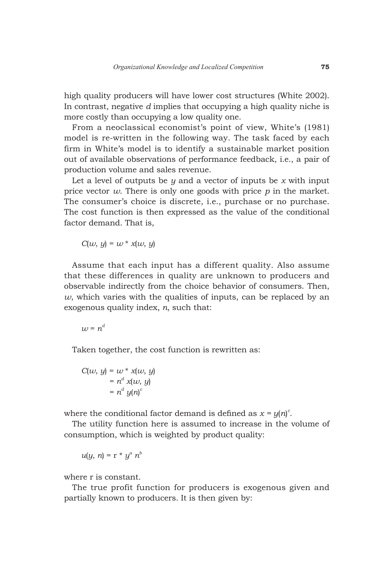high quality producers will have lower cost structures (White 2002). In contrast, negative *d* implies that occupying a high quality niche is more costly than occupying a low quality one.

From a neoclassical economist's point of view, White's (1981) model is re-written in the following way. The task faced by each firm in White's model is to identify a sustainable market position out of available observations of performance feedback, i.e., a pair of production volume and sales revenue.

Let a level of outputs be *y* and a vector of inputs be *x* with input price vector *w*. There is only one goods with price *p* in the market. The consumer's choice is discrete, i.e., purchase or no purchase. The cost function is then expressed as the value of the conditional factor demand. That is,

 $C(w, y) = w * x(w, y)$ 

Assume that each input has a different quality. Also assume that these differences in quality are unknown to producers and observable indirectly from the choice behavior of consumers. Then,  $w$ , which varies with the qualities of inputs, can be replaced by an exogenous quality index, *n*, such that:

 $uv = n^d$ 

Taken together, the cost function is rewritten as:

$$
C(w, y) = w * x(w, y)
$$
  
=  $nd x(w, y)$   
=  $nd y(n)c$ 

where the conditional factor demand is defined as  $x = y(n)^c$ .

The utility function here is assumed to increase in the volume of consumption, which is weighted by product quality:

$$
u(y, n) = r * y^a n^b
$$

where r is constant.

The true profit function for producers is exogenous given and partially known to producers. It is then given by: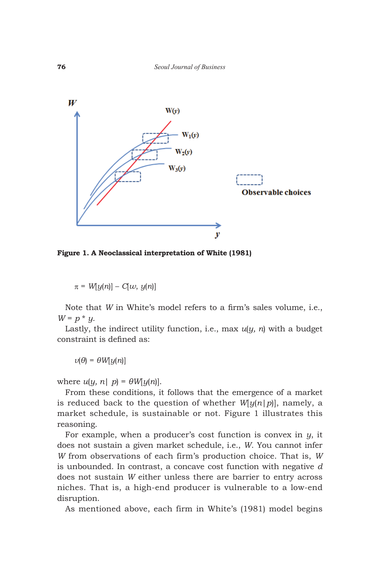

**Figure 1. A Neoclassical interpretation of White (1981)**

 $\pi = W[y(n)] - C[w, y(n)]$ 

Note that *W* in White's model refers to a firm's sales volume, i.e.,  $W = p * y$ .

Lastly, the indirect utility function, i.e., max *u*(*y, n*) with a budget constraint is defined as:

 $v(\theta) = \theta W[y(n)]$ 

where  $u(y, n | p) = \theta W[y(n)]$ .

From these conditions, it follows that the emergence of a market is reduced back to the question of whether  $W[y(n|p)]$ , namely, a market schedule, is sustainable or not. Figure 1 illustrates this reasoning.

For example, when a producer's cost function is convex in *y*, it does not sustain a given market schedule, i.e., *W*. You cannot infer *W* from observations of each firm's production choice. That is, *W* is unbounded. In contrast, a concave cost function with negative *d* does not sustain *W* either unless there are barrier to entry across niches. That is, a high-end producer is vulnerable to a low-end disruption.

As mentioned above, each firm in White's (1981) model begins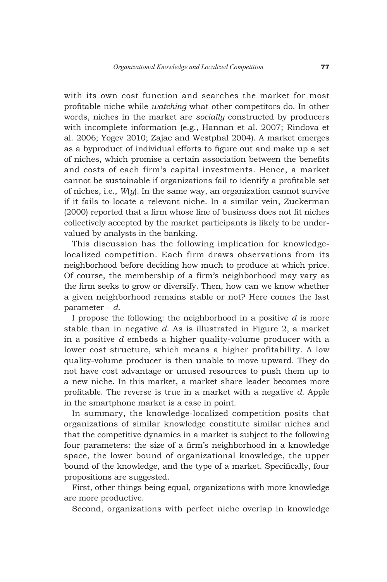with its own cost function and searches the market for most profitable niche while *watching* what other competitors do. In other words, niches in the market are *socially* constructed by producers with incomplete information (e.g., Hannan et al. 2007; Rindova et al. 2006; Yogev 2010; Zajac and Westphal 2004). A market emerges as a byproduct of individual efforts to figure out and make up a set of niches, which promise a certain association between the benefits and costs of each firm's capital investments. Hence, a market cannot be sustainable if organizations fail to identify a profitable set of niches, i.e., *W*(*y*). In the same way, an organization cannot survive if it fails to locate a relevant niche. In a similar vein, Zuckerman (2000) reported that a firm whose line of business does not fit niches collectively accepted by the market participants is likely to be undervalued by analysts in the banking.

This discussion has the following implication for knowledgelocalized competition. Each firm draws observations from its neighborhood before deciding how much to produce at which price. Of course, the membership of a firm's neighborhood may vary as the firm seeks to grow or diversify. Then, how can we know whether a given neighborhood remains stable or not? Here comes the last parameter – *d*.

I propose the following: the neighborhood in a positive *d* is more stable than in negative *d*. As is illustrated in Figure 2, a market in a positive *d* embeds a higher quality-volume producer with a lower cost structure, which means a higher profitability. A low quality-volume producer is then unable to move upward. They do not have cost advantage or unused resources to push them up to a new niche. In this market, a market share leader becomes more profitable. The reverse is true in a market with a negative *d*. Apple in the smartphone market is a case in point.

In summary, the knowledge-localized competition posits that organizations of similar knowledge constitute similar niches and that the competitive dynamics in a market is subject to the following four parameters: the size of a firm's neighborhood in a knowledge space, the lower bound of organizational knowledge, the upper bound of the knowledge, and the type of a market. Specifically, four propositions are suggested.

First, other things being equal, organizations with more knowledge are more productive.

Second, organizations with perfect niche overlap in knowledge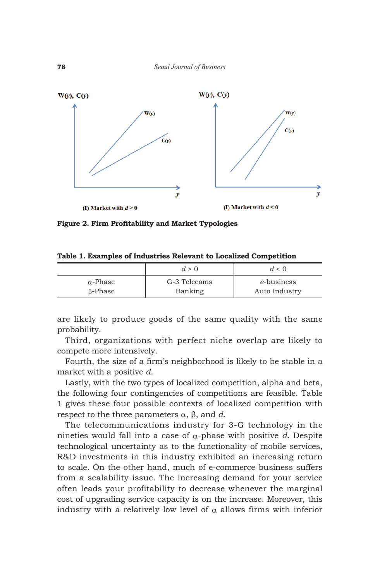

**Figure 2. Firm Profitability and Market Typologies**

|  |  |  |  |  |  |  |  |  | Table 1. Examples of Industries Relevant to Localized Competition |  |  |  |
|--|--|--|--|--|--|--|--|--|-------------------------------------------------------------------|--|--|--|
|--|--|--|--|--|--|--|--|--|-------------------------------------------------------------------|--|--|--|

|                 | d > 0        | $d \leq 0$    |
|-----------------|--------------|---------------|
| $\alpha$ -Phase | G-3 Telecoms | e-business    |
| B-Phase         | Banking      | Auto Industry |

are likely to produce goods of the same quality with the same probability.

Third, organizations with perfect niche overlap are likely to compete more intensively.

Fourth, the size of a firm's neighborhood is likely to be stable in a market with a positive *d*.

Lastly, with the two types of localized competition, alpha and beta, the following four contingencies of competitions are feasible. Table 1 gives these four possible contexts of localized competition with respect to the three parameters  $α$ ,  $β$ , and  $d$ .

The telecommunications industry for 3-G technology in the nineties would fall into a case of α-phase with positive *d*. Despite technological uncertainty as to the functionality of mobile services, R&D investments in this industry exhibited an increasing return to scale. On the other hand, much of e-commerce business suffers from a scalability issue. The increasing demand for your service often leads your profitability to decrease whenever the marginal cost of upgrading service capacity is on the increase. Moreover, this industry with a relatively low level of  $\alpha$  allows firms with inferior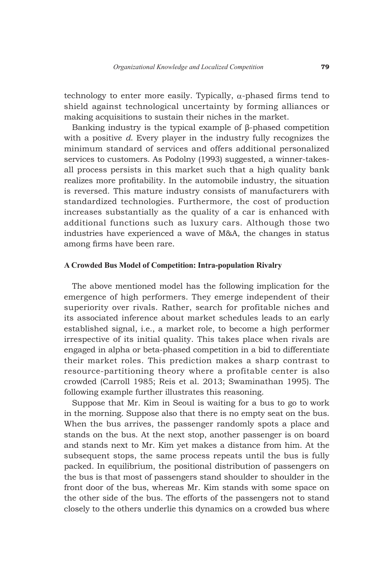technology to enter more easily. Typically,  $\alpha$ -phased firms tend to shield against technological uncertainty by forming alliances or making acquisitions to sustain their niches in the market.

Banking industry is the typical example of β-phased competition with a positive *d*. Every player in the industry fully recognizes the minimum standard of services and offers additional personalized services to customers. As Podolny (1993) suggested, a winner-takesall process persists in this market such that a high quality bank realizes more profitability. In the automobile industry, the situation is reversed. This mature industry consists of manufacturers with standardized technologies. Furthermore, the cost of production increases substantially as the quality of a car is enhanced with additional functions such as luxury cars. Although those two industries have experienced a wave of M&A, the changes in status among firms have been rare.

### **A Crowded Bus Model of Competition: Intra-population Rivalry**

The above mentioned model has the following implication for the emergence of high performers. They emerge independent of their superiority over rivals. Rather, search for profitable niches and its associated inference about market schedules leads to an early established signal, i.e., a market role, to become a high performer irrespective of its initial quality. This takes place when rivals are engaged in alpha or beta-phased competition in a bid to differentiate their market roles. This prediction makes a sharp contrast to resource-partitioning theory where a profitable center is also crowded (Carroll 1985; Reis et al. 2013; Swaminathan 1995). The following example further illustrates this reasoning.

Suppose that Mr. Kim in Seoul is waiting for a bus to go to work in the morning. Suppose also that there is no empty seat on the bus. When the bus arrives, the passenger randomly spots a place and stands on the bus. At the next stop, another passenger is on board and stands next to Mr. Kim yet makes a distance from him. At the subsequent stops, the same process repeats until the bus is fully packed. In equilibrium, the positional distribution of passengers on the bus is that most of passengers stand shoulder to shoulder in the front door of the bus, whereas Mr. Kim stands with some space on the other side of the bus. The efforts of the passengers not to stand closely to the others underlie this dynamics on a crowded bus where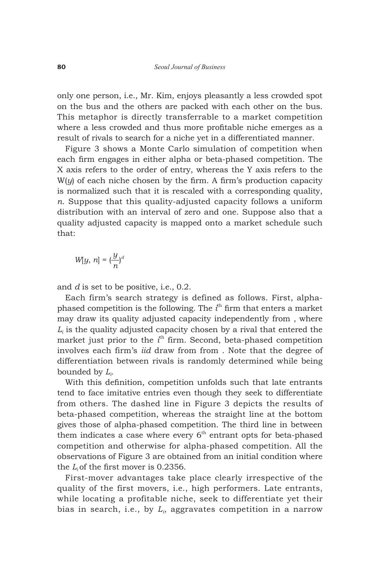only one person, i.e., Mr. Kim, enjoys pleasantly a less crowded spot on the bus and the others are packed with each other on the bus. This metaphor is directly transferrable to a market competition where a less crowded and thus more profitable niche emerges as a result of rivals to search for a niche yet in a differentiated manner.

Figure 3 shows a Monte Carlo simulation of competition when each firm engages in either alpha or beta-phased competition. The X axis refers to the order of entry, whereas the Y axis refers to the W(*y*) of each niche chosen by the firm. A firm's production capacity is normalized such that it is rescaled with a corresponding quality, *n*. Suppose that this quality-adjusted capacity follows a uniform distribution with an interval of zero and one. Suppose also that a quality adjusted capacity is mapped onto a market schedule such that:

$$
W[y, n] = \left(\frac{y}{n}\right)^d
$$

and *d* is set to be positive, i.e., 0.2.

Each firm's search strategy is defined as follows. First, alphaphased competition is the following. The  $i<sup>th</sup>$  firm that enters a market may draw its quality adjusted capacity independently from , where  $L_i$  is the quality adjusted capacity chosen by a rival that entered the market just prior to the *i*<sup>th</sup> firm. Second, beta-phased competition involves each firm's *iid* draw from from . Note that the degree of differentiation between rivals is randomly determined while being bounded by *Li* .

With this definition, competition unfolds such that late entrants tend to face imitative entries even though they seek to differentiate from others. The dashed line in Figure 3 depicts the results of beta-phased competition, whereas the straight line at the bottom gives those of alpha-phased competition. The third line in between them indicates a case where every  $6<sup>th</sup>$  entrant opts for beta-phased competition and otherwise for alpha-phased competition. All the observations of Figure 3 are obtained from an initial condition where the *L*<sub>i</sub> of the first mover is 0.2356.

First-mover advantages take place clearly irrespective of the quality of the first movers, i.e., high performers. Late entrants, while locating a profitable niche, seek to differentiate yet their bias in search, i.e., by *Li* , aggravates competition in a narrow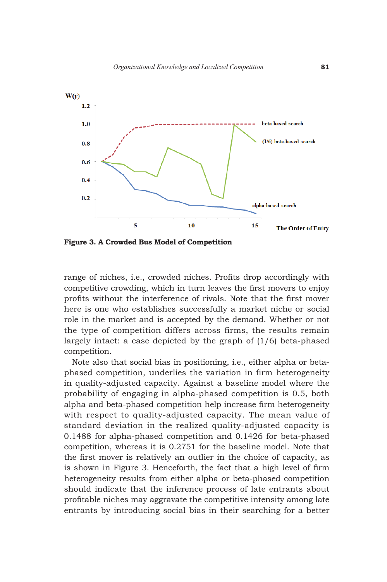

**Figure 3. A Crowded Bus Model of Competition**

range of niches, i.e., crowded niches. Profits drop accordingly with competitive crowding, which in turn leaves the first movers to enjoy profits without the interference of rivals. Note that the first mover here is one who establishes successfully a market niche or social role in the market and is accepted by the demand. Whether or not the type of competition differs across firms, the results remain largely intact: a case depicted by the graph of (1/6) beta-phased competition.

Note also that social bias in positioning, i.e., either alpha or betaphased competition, underlies the variation in firm heterogeneity in quality-adjusted capacity. Against a baseline model where the probability of engaging in alpha-phased competition is 0.5, both alpha and beta-phased competition help increase firm heterogeneity with respect to quality-adjusted capacity. The mean value of standard deviation in the realized quality-adjusted capacity is 0.1488 for alpha-phased competition and 0.1426 for beta-phased competition, whereas it is 0.2751 for the baseline model. Note that the first mover is relatively an outlier in the choice of capacity, as is shown in Figure 3. Henceforth, the fact that a high level of firm heterogeneity results from either alpha or beta-phased competition should indicate that the inference process of late entrants about profitable niches may aggravate the competitive intensity among late entrants by introducing social bias in their searching for a better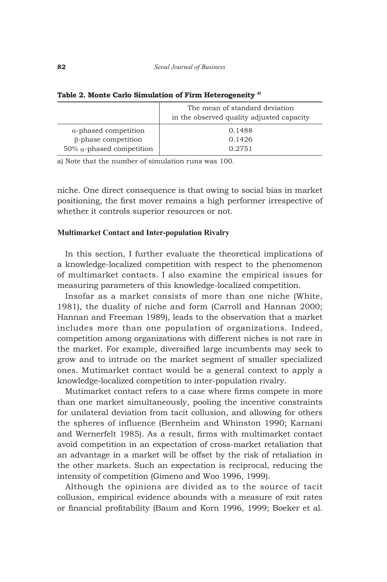|                                  | The mean of standard deviation<br>in the observed quality adjusted capacity |
|----------------------------------|-----------------------------------------------------------------------------|
| $\alpha$ -phased competition     | 0.1488                                                                      |
| $\beta$ -phase competition       | 0.1426                                                                      |
| 50% $\alpha$ -phased competition | 0.2751                                                                      |

**Table 2. Monte Carlo Simulation of Firm Heterogeneity a)**

a) Note that the number of simulation runs was 100.

niche. One direct consequence is that owing to social bias in market positioning, the first mover remains a high performer irrespective of whether it controls superior resources or not.

#### **Multimarket Contact and Inter-population Rivalry**

In this section, I further evaluate the theoretical implications of a knowledge-localized competition with respect to the phenomenon of multimarket contacts. I also examine the empirical issues for measuring parameters of this knowledge-localized competition.

Insofar as a market consists of more than one niche (White, 1981), the duality of niche and form (Carroll and Hannan 2000; Hannan and Freeman 1989), leads to the observation that a market includes more than one population of organizations. Indeed, competition among organizations with different niches is not rare in the market. For example, diversified large incumbents may seek to grow and to intrude on the market segment of smaller specialized ones. Mutimarket contact would be a general context to apply a knowledge-localized competition to inter-population rivalry.

Mutimarket contact refers to a case where firms compete in more than one market simultaneously, pooling the incentive constraints for unilateral deviation from tacit collusion, and allowing for others the spheres of influence (Bernheim and Whinston 1990; Karnani and Wernerfelt 1985). As a result, firms with multimarket contact avoid competition in an expectation of cross-market retaliation that an advantage in a market will be offset by the risk of retaliation in the other markets. Such an expectation is reciprocal, reducing the intensity of competition (Gimeno and Woo 1996, 1999).

Although the opinions are divided as to the source of tacit collusion, empirical evidence abounds with a measure of exit rates or financial profitability (Baum and Korn 1996, 1999; Boeker et al.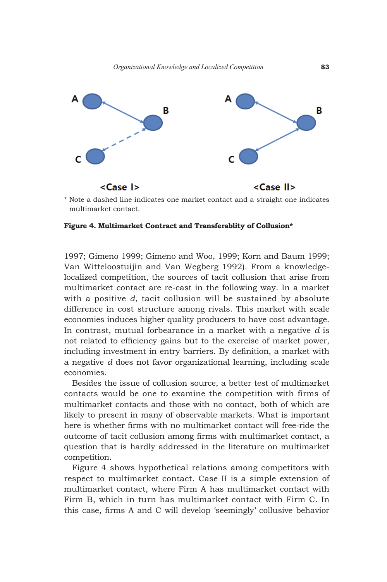

\* Note a dashed line indicates one market contact and a straight one indicates multimarket contact.

#### **Figure 4. Multimarket Contract and Transferablity of Collusion\***

1997; Gimeno 1999; Gimeno and Woo, 1999; Korn and Baum 1999; Van Witteloostuijin and Van Wegberg 1992). From a knowledgelocalized competition, the sources of tacit collusion that arise from multimarket contact are re-cast in the following way. In a market with a positive *d*, tacit collusion will be sustained by absolute difference in cost structure among rivals. This market with scale economies induces higher quality producers to have cost advantage. In contrast, mutual forbearance in a market with a negative *d* is not related to efficiency gains but to the exercise of market power, including investment in entry barriers. By definition, a market with a negative *d* does not favor organizational learning, including scale economies.

Besides the issue of collusion source, a better test of multimarket contacts would be one to examine the competition with firms of multimarket contacts and those with no contact, both of which are likely to present in many of observable markets. What is important here is whether firms with no multimarket contact will free-ride the outcome of tacit collusion among firms with multimarket contact, a question that is hardly addressed in the literature on multimarket competition.

Figure 4 shows hypothetical relations among competitors with respect to multimarket contact. Case II is a simple extension of multimarket contact, where Firm A has multimarket contact with Firm B, which in turn has multimarket contact with Firm C. In this case, firms A and C will develop 'seemingly' collusive behavior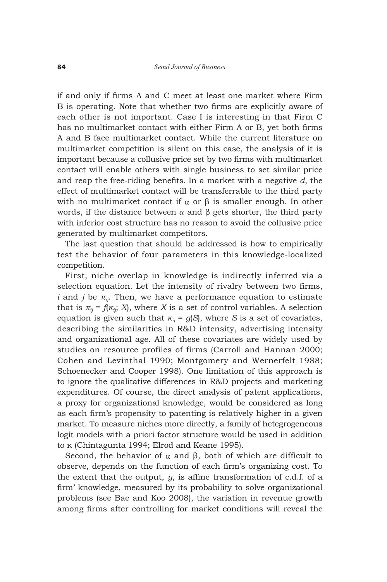if and only if firms A and C meet at least one market where Firm B is operating. Note that whether two firms are explicitly aware of each other is not important. Case I is interesting in that Firm C has no multimarket contact with either Firm A or B, yet both firms A and B face multimarket contact. While the current literature on multimarket competition is silent on this case, the analysis of it is important because a collusive price set by two firms with multimarket contact will enable others with single business to set similar price and reap the free-riding benefits. In a market with a negative *d*, the effect of multimarket contact will be transferrable to the third party with no multimarket contact if  $\alpha$  or  $\beta$  is smaller enough. In other words, if the distance between  $\alpha$  and  $\beta$  gets shorter, the third party with inferior cost structure has no reason to avoid the collusive price generated by multimarket competitors.

The last question that should be addressed is how to empirically test the behavior of four parameters in this knowledge-localized competition.

First, niche overlap in knowledge is indirectly inferred via a selection equation. Let the intensity of rivalry between two firms, *i* and *j* be  $\pi_{ii}$ . Then, we have a performance equation to estimate that is  $\pi_{ii} = f(\kappa_{ii}; X)$ , where *X* is a set of control variables. A selection equation is given such that  $\kappa_{ij} = g(S)$ , where *S* is a set of covariates, describing the similarities in R&D intensity, advertising intensity and organizational age. All of these covariates are widely used by studies on resource profiles of firms (Carroll and Hannan 2000; Cohen and Levinthal 1990; Montgomery and Wernerfelt 1988; Schoenecker and Cooper 1998). One limitation of this approach is to ignore the qualitative differences in R&D projects and marketing expenditures. Of course, the direct analysis of patent applications, a proxy for organizational knowledge, would be considered as long as each firm's propensity to patenting is relatively higher in a given market. To measure niches more directly, a family of hetegrogeneous logit models with a priori factor structure would be used in addition to κ (Chintagunta 1994; Elrod and Keane 1995).

Second, the behavior of  $\alpha$  and  $\beta$ , both of which are difficult to observe, depends on the function of each firm's organizing cost. To the extent that the output, *y*, is affine transformation of c.d.f. of a firm' knowledge, measured by its probability to solve organizational problems (see Bae and Koo 2008), the variation in revenue growth among firms after controlling for market conditions will reveal the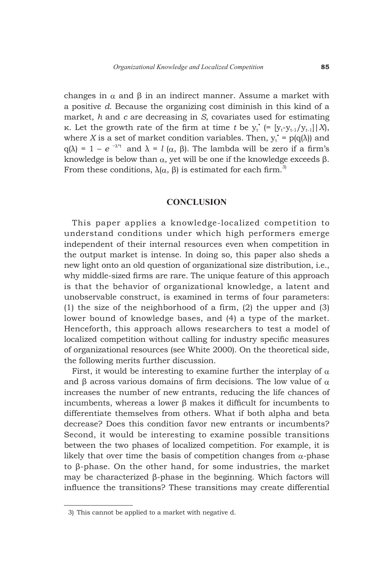changes in  $\alpha$  and  $\beta$  in an indirect manner. Assume a market with a positive *d*. Because the organizing cost diminish in this kind of a market, *h* and *c* are decreasing in *S*, covariates used for estimating κ. Let the growth rate of the firm at time *t* be  $y_t^{\dagger}$  (= [ $y_t-y_{t-1}/y_{t-1}$ ] | *X*), where *X* is a set of market condition variables. Then,  $y_t^* = p(q(\lambda))$  and q( $\lambda$ ) = 1 – *e* <sup>- $\lambda$ \*t</sup> and  $\lambda$  = *l* ( $\alpha$ ,  $\beta$ ). The lambda will be zero if a firm's knowledge is below than  $\alpha$ , yet will be one if the knowledge exceeds  $\beta$ . From these conditions,  $\lambda(\alpha, \beta)$  is estimated for each firm.<sup>3)</sup>

#### **CONCLUSION**

This paper applies a knowledge-localized competition to understand conditions under which high performers emerge independent of their internal resources even when competition in the output market is intense. In doing so, this paper also sheds a new light onto an old question of organizational size distribution, i.e., why middle-sized firms are rare. The unique feature of this approach is that the behavior of organizational knowledge, a latent and unobservable construct, is examined in terms of four parameters: (1) the size of the neighborhood of a firm, (2) the upper and (3) lower bound of knowledge bases, and (4) a type of the market. Henceforth, this approach allows researchers to test a model of localized competition without calling for industry specific measures of organizational resources (see White 2000). On the theoretical side, the following merits further discussion.

First, it would be interesting to examine further the interplay of  $\alpha$ and  $\beta$  across various domains of firm decisions. The low value of  $\alpha$ increases the number of new entrants, reducing the life chances of incumbents, whereas a lower β makes it difficult for incumbents to differentiate themselves from others. What if both alpha and beta decrease? Does this condition favor new entrants or incumbents? Second, it would be interesting to examine possible transitions between the two phases of localized competition. For example, it is likely that over time the basis of competition changes from  $\alpha$ -phase to β-phase. On the other hand, for some industries, the market may be characterized β-phase in the beginning. Which factors will influence the transitions? These transitions may create differential

 <sup>3)</sup> This cannot be applied to a market with negative d.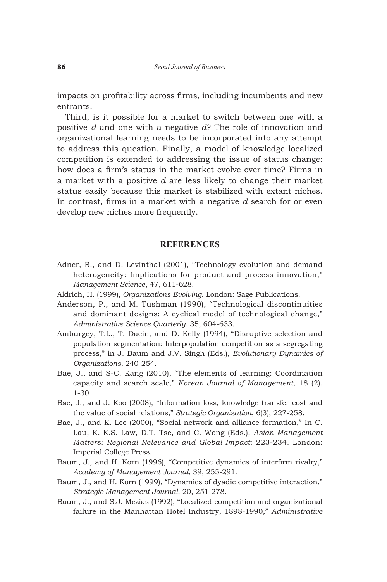impacts on profitability across firms, including incumbents and new entrants.

Third, is it possible for a market to switch between one with a positive *d* and one with a negative *d*? The role of innovation and organizational learning needs to be incorporated into any attempt to address this question. Finally, a model of knowledge localized competition is extended to addressing the issue of status change: how does a firm's status in the market evolve over time? Firms in a market with a positive *d* are less likely to change their market status easily because this market is stabilized with extant niches. In contrast, firms in a market with a negative *d* search for or even develop new niches more frequently.

# **REFERENCES**

- Adner, R., and D. Levinthal (2001), "Technology evolution and demand heterogeneity: Implications for product and process innovation," *Management Science*, 47, 611-628.
- Aldrich, H. (1999), *Organizations Evolving*. London: Sage Publications.
- Anderson, P., and M. Tushman (1990), "Technological discontinuities and dominant designs: A cyclical model of technological change," *Administrative Science Quarterly*, 35, 604-633.
- Amburgey, T.L., T. Dacin, and D. Kelly (1994), "Disruptive selection and population segmentation: Interpopulation competition as a segregating process," in J. Baum and J.V. Singh (Eds.), *Evolutionary Dynamics of Organizations,* 240-254.
- Bae, J., and S-C. Kang (2010), "The elements of learning: Coordination capacity and search scale," *Korean Journal of Management*, 18 (2), 1-30.
- Bae, J., and J. Koo (2008), "Information loss, knowledge transfer cost and the value of social relations," *Strategic Organization*, 6(3), 227-258.
- Bae, J., and K. Lee (2000), "Social network and alliance formation," In C. Lau, K. K.S. Law, D.T. Tse, and C. Wong (Eds.), *Asian Management Matters: Regional Relevance and Global Impact*: 223-234. London: Imperial College Press.
- Baum, J., and H. Korn (1996), "Competitive dynamics of interfirm rivalry," *Academy of Management Journal*, 39, 255-291.
- Baum, J., and H. Korn (1999), "Dynamics of dyadic competitive interaction," *Strategic Management Journal*, 20, 251-278.
- Baum, J., and S.J. Mezias (1992), "Localized competition and organizational failure in the Manhattan Hotel Industry, 1898-1990," *Administrative*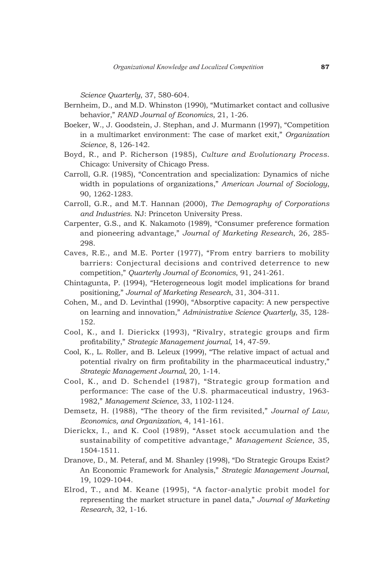*Science Quarterly*, 37, 580-604.

- Bernheim, D., and M.D. Whinston (1990), "Mutimarket contact and collusive behavior," *RAND Journal of Economics*, 21, 1-26.
- Boeker, W., J. Goodstein, J. Stephan, and J. Murmann (1997), "Competition in a multimarket environment: The case of market exit," *Organization Science*, 8, 126-142.
- Boyd, R., and P. Richerson (1985), *Culture and Evolutionary Process*. Chicago: University of Chicago Press.
- Carroll, G.R. (1985), "Concentration and specialization: Dynamics of niche width in populations of organizations," *American Journal of Sociology*, 90, 1262-1283.
- Carroll, G.R., and M.T. Hannan (2000), *The Demography of Corporations and Industries*. NJ: Princeton University Press.
- Carpenter, G.S., and K. Nakamoto (1989), "Consumer preference formation and pioneering advantage," *Journal of Marketing Research*, 26, 285- 298.
- Caves, R.E., and M.E. Porter (1977), "From entry barriers to mobility barriers: Conjectural decisions and contrived deterrence to new competition," *Quarterly Journal of Economics*, 91, 241-261.
- Chintagunta, P. (1994), "Heterogeneous logit model implications for brand positioning," *Journal of Marketing Research*, 31, 304-311.
- Cohen, M., and D. Levinthal (1990), "Absorptive capacity: A new perspective on learning and innovation," *Administrative Science Quarterly*, 35, 128- 152.
- Cool, K., and I. Dierickx (1993), "Rivalry, strategic groups and firm profitability," *Strategic Management journal*, 14, 47-59.
- Cool, K., L. Roller, and B. Leleux (1999), "The relative impact of actual and potential rivalry on firm profitability in the pharmaceutical industry," *Strategic Management Journal*, 20, 1-14.
- Cool, K., and D. Schendel (1987), "Strategic group formation and performance: The case of the U.S. pharmaceutical industry, 1963- 1982," *Management Science*, 33, 1102-1124.
- Demsetz, H. (1988), "The theory of the firm revisited," *Journal of Law, Economics, and Organization*, 4, 141-161.
- Dierickx, I., and K. Cool (1989), "Asset stock accumulation and the sustainability of competitive advantage," *Management Science*, 35, 1504-1511.
- Dranove, D., M. Peteraf, and M. Shanley (1998), "Do Strategic Groups Exist? An Economic Framework for Analysis," *Strategic Management Journal*, 19, 1029-1044.
- Elrod, T., and M. Keane (1995), "A factor-analytic probit model for representing the market structure in panel data," *Journal of Marketing Research*, 32, 1-16.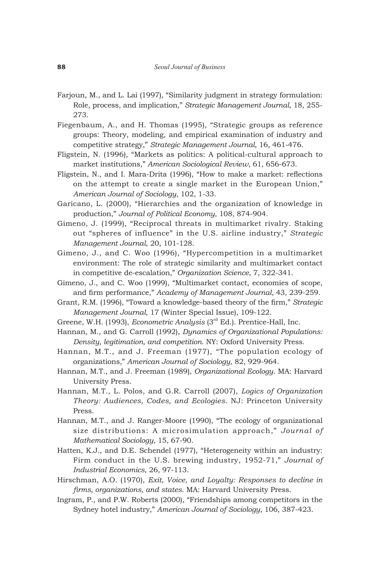- Farjoun, M., and L. Lai (1997), "Similarity judgment in strategy formulation: Role, process, and implication," *Strategic Management Journal*, 18, 255- 273.
- Fiegenbaum, A., and H. Thomas (1995), "Strategic groups as reference groups: Theory, modeling, and empirical examination of industry and competitive strategy," *Strategic Management Journal*, 16, 461-476.
- Fligstein, N. (1996), "Markets as politics: A political-cultural approach to market institutions," *American Sociological Review*, 61, 656-673.
- Fligstein, N., and I. Mara-Drita (1996), "How to make a market: reflections on the attempt to create a single market in the European Union," *American Journal of Sociology*, 102, 1-33.
- Garicano, L. (2000), "Hierarchies and the organization of knowledge in production," *Journal of Political Economy*, 108, 874-904.
- Gimeno, J. (1999), "Reciprocal threats in multimarket rivalry. Staking out "spheres of influence" in the U.S. airline industry," *Strategic Management Journal*, 20, 101-128.
- Gimeno, J., and C. Woo (1996), "Hypercompetition in a multimarket environment: The role of strategic similarity and multimarket contact in competitive de-escalation," *Organization Science*, 7, 322-341.
- Gimeno, J., and C. Woo (1999), "Multimarket contact, economies of scope, and firm performance," *Academy of Management Journal*, 43, 239-259.
- Grant, R.M. (1996), "Toward a knowledge-based theory of the firm," *Strategic Management Journal*, 17 (Winter Special Issue), 109-122.
- Greene, W.H. (1993), *Econometric Analysis* (3rd Ed.). Prentice-Hall, Inc.
- Hannan, M., and G. Carroll (1992), *Dynamics of Organizational Populations: Density, legitimation, and competition*. NY: Oxford University Press.
- Hannan, M.T., and J. Freeman (1977), "The population ecology of organizations," *American Journal of Sociology*, 82, 929-964.
- Hannan, M.T., and J. Freeman (1989), *Organizational Ecology*. MA: Harvard University Press.
- Hannan, M.T., L. Polos, and G.R. Carroll (2007), *Logics of Organization Theory: Audiences, Codes, and Ecologies*. NJ: Princeton University Press.
- Hannan, M.T., and J. Ranger-Moore (1990), "The ecology of organizational size distributions: A microsimulation approach," *Journal of Mathematical Sociology*, 15, 67-90.
- Hatten, K.J., and D.E. Schendel (1977), "Heterogeneity within an industry: Firm conduct in the U.S. brewing industry, 1952-71," *Journal of Industrial Economics*, 26, 97-113.
- Hirschman, A.O. (1970), *Exit, Voice, and Loyalty: Responses to decline in firms, organizations, and states*. MA: Harvard University Press.
- Ingram, P., and P.W. Roberts (2000), "Friendships among competitors in the Sydney hotel industry," *American Journal of Sociology*, 106, 387-423.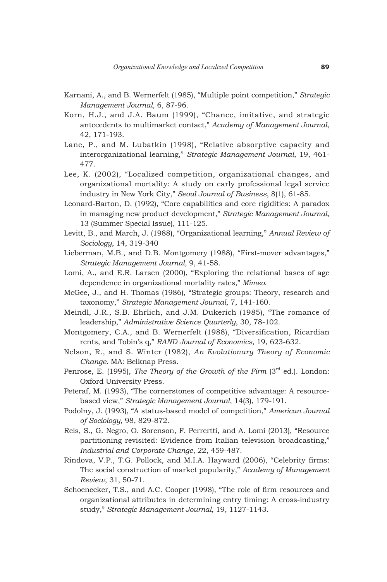- Karnani, A., and B. Wernerfelt (1985), "Multiple point competition," *Strategic Management Journal*, 6, 87-96.
- Korn, H.J., and J.A. Baum (1999), "Chance, imitative, and strategic antecedents to multimarket contact," *Academy of Management Journal*, 42, 171-193.
- Lane, P., and M. Lubatkin (1998), "Relative absorptive capacity and interorganizational learning," *Strategic Management Journal*, 19, 461- 477.
- Lee, K. (2002), "Localized competition, organizational changes, and organizational mortality: A study on early professional legal service industry in New York City," *Seoul Journal of Business*, 8(1), 61-85.
- Leonard-Barton, D. (1992), "Core capabilities and core rigidities: A paradox in managing new product development," *Strategic Management Journal*, 13 (Summer Special Issue), 111-125.
- Levitt, B., and March, J. (1988), "Organizational learning," *Annual Review of Sociology*, 14, 319-340
- Lieberman, M.B., and D.B. Montgomery (1988), "First-mover advantages," *Strategic Management Journal*, 9, 41-58.
- Lomi, A., and E.R. Larsen (2000), "Exploring the relational bases of age dependence in organizational mortality rates," *Mimeo*.
- McGee, J., and H. Thomas (1986), "Strategic groups: Theory, research and taxonomy," *Strategic Management Journal*, 7, 141-160.
- Meindl, J.R., S.B. Ehrlich, and J.M. Dukerich (1985), "The romance of leadership," *Administrative Science Quarterly*, 30, 78-102.
- Montgomery, C.A., and B. Wernerfelt (1988), "Diversification, Ricardian rents, and Tobin's q," *RAND Journal of Economics*, 19, 623-632.
- Nelson, R., and S. Winter (1982), *An Evolutionary Theory of Economic Change*. MA: Belknap Press.
- Penrose, E. (1995), *The Theory of the Growth of the Firm* (3<sup>rd</sup> ed.). London: Oxford University Press.
- Peteraf, M. (1993), "The cornerstones of competitive advantage: A resourcebased view," *Strategic Management Journal*, 14(3), 179-191.
- Podolny, J. (1993), "A status-based model of competition," *American Journal of Sociology*, 98, 829-872.
- Reis, S., G. Negro, O. Sorenson, F. Perrertti, and A. Lomi (2013), "Resource partitioning revisited: Evidence from Italian television broadcasting," *Industrial and Corporate Change*, 22, 459-487.
- Rindova, V.P., T.G. Pollock, and M.I.A. Hayward (2006), "Celebrity firms: The social construction of market popularity," *Academy of Management Review*, 31, 50-71.
- Schoenecker, T.S., and A.C. Cooper (1998), "The role of firm resources and organizational attributes in determining entry timing: A cross-industry study," *Strategic Management Journal*, 19, 1127-1143.